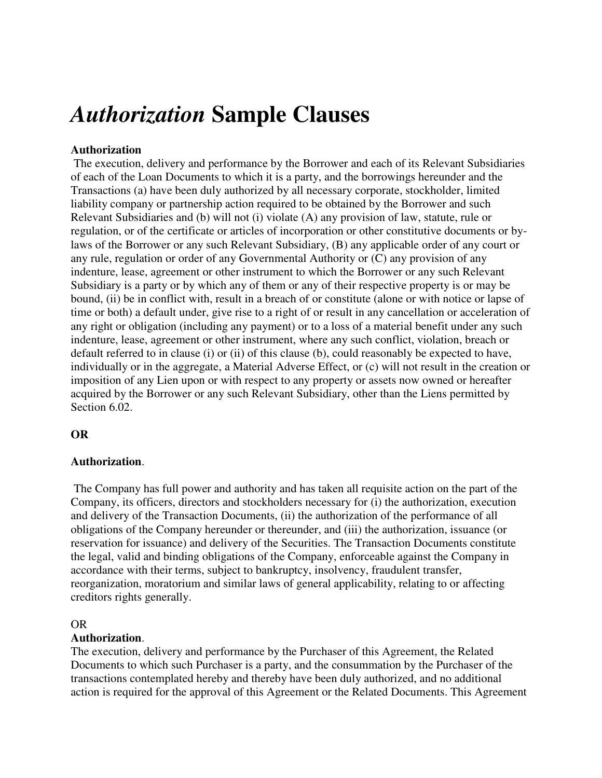# *Authorization* **Sample Clauses**

# **Authorization**

 The execution, delivery and performance by the Borrower and each of its Relevant Subsidiaries of each of the Loan Documents to which it is a party, and the borrowings hereunder and the Transactions (a) have been duly authorized by all necessary corporate, stockholder, limited liability company or partnership action required to be obtained by the Borrower and such Relevant Subsidiaries and (b) will not (i) violate (A) any provision of law, statute, rule or regulation, or of the certificate or articles of incorporation or other constitutive documents or bylaws of the Borrower or any such Relevant Subsidiary, (B) any applicable order of any court or any rule, regulation or order of any Governmental Authority or (C) any provision of any indenture, lease, agreement or other instrument to which the Borrower or any such Relevant Subsidiary is a party or by which any of them or any of their respective property is or may be bound, (ii) be in conflict with, result in a breach of or constitute (alone or with notice or lapse of time or both) a default under, give rise to a right of or result in any cancellation or acceleration of any right or obligation (including any payment) or to a loss of a material benefit under any such indenture, lease, agreement or other instrument, where any such conflict, violation, breach or default referred to in clause (i) or (ii) of this clause (b), could reasonably be expected to have, individually or in the aggregate, a Material Adverse Effect, or (c) will not result in the creation or imposition of any Lien upon or with respect to any property or assets now owned or hereafter acquired by the Borrower or any such Relevant Subsidiary, other than the Liens permitted by Section 6.02.

### **OR**

### **Authorization**.

 The Company has full power and authority and has taken all requisite action on the part of the Company, its officers, directors and stockholders necessary for (i) the authorization, execution and delivery of the Transaction Documents, (ii) the authorization of the performance of all obligations of the Company hereunder or thereunder, and (iii) the authorization, issuance (or reservation for issuance) and delivery of the Securities. The Transaction Documents constitute the legal, valid and binding obligations of the Company, enforceable against the Company in accordance with their terms, subject to bankruptcy, insolvency, fraudulent transfer, reorganization, moratorium and similar laws of general applicability, relating to or affecting creditors rights generally.

#### OR

### **Authorization**.

The execution, delivery and performance by the Purchaser of this Agreement, the Related Documents to which such Purchaser is a party, and the consummation by the Purchaser of the transactions contemplated hereby and thereby have been duly authorized, and no additional action is required for the approval of this Agreement or the Related Documents. This Agreement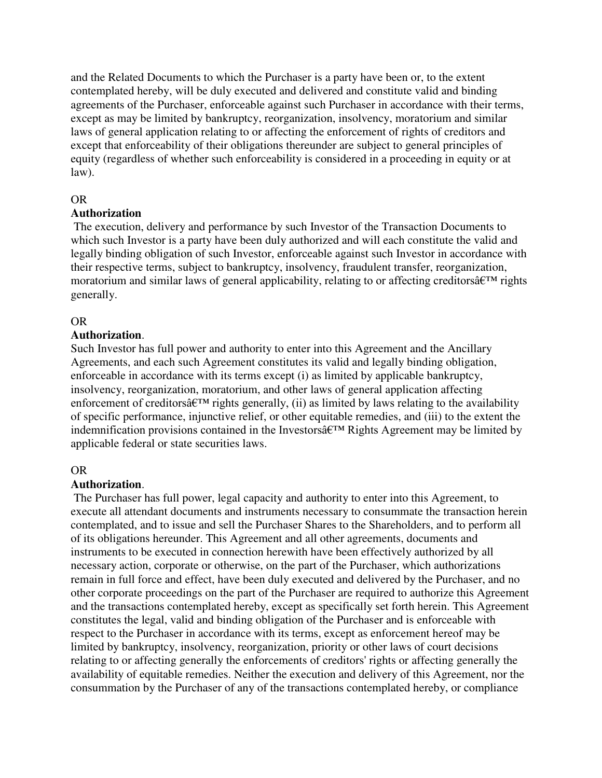and the Related Documents to which the Purchaser is a party have been or, to the extent contemplated hereby, will be duly executed and delivered and constitute valid and binding agreements of the Purchaser, enforceable against such Purchaser in accordance with their terms, except as may be limited by bankruptcy, reorganization, insolvency, moratorium and similar laws of general application relating to or affecting the enforcement of rights of creditors and except that enforceability of their obligations thereunder are subject to general principles of equity (regardless of whether such enforceability is considered in a proceeding in equity or at law).

### OR

# **Authorization**

 The execution, delivery and performance by such Investor of the Transaction Documents to which such Investor is a party have been duly authorized and will each constitute the valid and legally binding obligation of such Investor, enforceable against such Investor in accordance with their respective terms, subject to bankruptcy, insolvency, fraudulent transfer, reorganization, moratorium and similar laws of general applicability, relating to or affecting creditors $\hat{\mathbf{a}} \in \mathbb{N}^M$  rights generally.

# OR

### **Authorization**.

Such Investor has full power and authority to enter into this Agreement and the Ancillary Agreements, and each such Agreement constitutes its valid and legally binding obligation, enforceable in accordance with its terms except (i) as limited by applicable bankruptcy, insolvency, reorganization, moratorium, and other laws of general application affecting enforcement of creditors $\hat{\mathfrak{a}} \in \mathbb{T}^M$  rights generally, (ii) as limited by laws relating to the availability of specific performance, injunctive relief, or other equitable remedies, and (iii) to the extent the indemnification provisions contained in the Investors $\hat{\mathfrak{a}} \in \mathbb{R}^m$  Rights Agreement may be limited by applicable federal or state securities laws.

### OR

# **Authorization**.

 The Purchaser has full power, legal capacity and authority to enter into this Agreement, to execute all attendant documents and instruments necessary to consummate the transaction herein contemplated, and to issue and sell the Purchaser Shares to the Shareholders, and to perform all of its obligations hereunder. This Agreement and all other agreements, documents and instruments to be executed in connection herewith have been effectively authorized by all necessary action, corporate or otherwise, on the part of the Purchaser, which authorizations remain in full force and effect, have been duly executed and delivered by the Purchaser, and no other corporate proceedings on the part of the Purchaser are required to authorize this Agreement and the transactions contemplated hereby, except as specifically set forth herein. This Agreement constitutes the legal, valid and binding obligation of the Purchaser and is enforceable with respect to the Purchaser in accordance with its terms, except as enforcement hereof may be limited by bankruptcy, insolvency, reorganization, priority or other laws of court decisions relating to or affecting generally the enforcements of creditors' rights or affecting generally the availability of equitable remedies. Neither the execution and delivery of this Agreement, nor the consummation by the Purchaser of any of the transactions contemplated hereby, or compliance